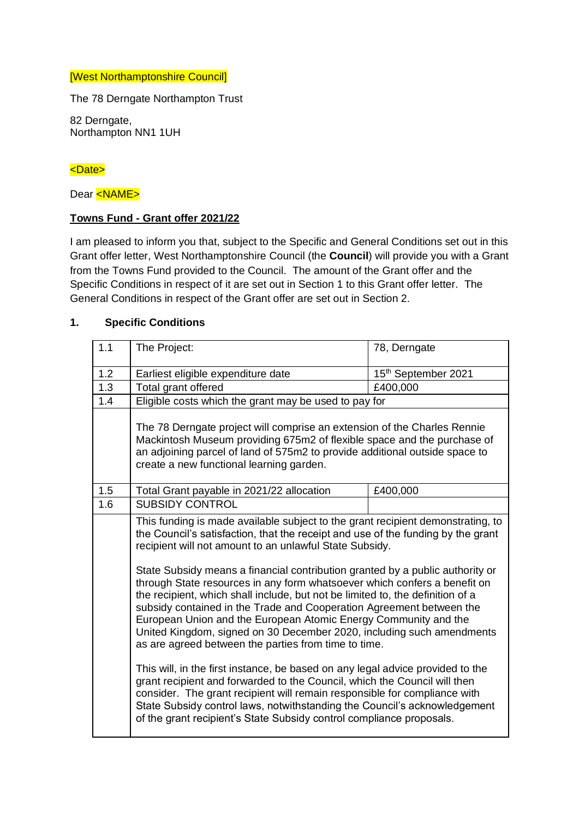#### [West Northamptonshire Council]

The 78 Derngate Northampton Trust

82 Derngate, Northampton NN1 1UH

### <Date>

Dear <NAME>

### **Towns Fund - Grant offer 2021/22**

I am pleased to inform you that, subject to the Specific and General Conditions set out in this Grant offer letter, West Northamptonshire Council (the **Council**) will provide you with a Grant from the Towns Fund provided to the Council. The amount of the Grant offer and the Specific Conditions in respect of it are set out in Section 1 to this Grant offer letter. The General Conditions in respect of the Grant offer are set out in Section 2.

### **1. Specific Conditions**

| The Project:                                                                                                                                                                                                                                                                                                                                                                                                                                                                                                                                                                                                                                                                                                                                                                                                                                                                                                                                                                                           | 78, Derngate                                                                                                                                      |  |
|--------------------------------------------------------------------------------------------------------------------------------------------------------------------------------------------------------------------------------------------------------------------------------------------------------------------------------------------------------------------------------------------------------------------------------------------------------------------------------------------------------------------------------------------------------------------------------------------------------------------------------------------------------------------------------------------------------------------------------------------------------------------------------------------------------------------------------------------------------------------------------------------------------------------------------------------------------------------------------------------------------|---------------------------------------------------------------------------------------------------------------------------------------------------|--|
| Earliest eligible expenditure date                                                                                                                                                                                                                                                                                                                                                                                                                                                                                                                                                                                                                                                                                                                                                                                                                                                                                                                                                                     | 15th September 2021                                                                                                                               |  |
| Total grant offered                                                                                                                                                                                                                                                                                                                                                                                                                                                                                                                                                                                                                                                                                                                                                                                                                                                                                                                                                                                    | £400,000                                                                                                                                          |  |
| Eligible costs which the grant may be used to pay for                                                                                                                                                                                                                                                                                                                                                                                                                                                                                                                                                                                                                                                                                                                                                                                                                                                                                                                                                  |                                                                                                                                                   |  |
| The 78 Derngate project will comprise an extension of the Charles Rennie<br>Mackintosh Museum providing 675m2 of flexible space and the purchase of<br>an adjoining parcel of land of 575m2 to provide additional outside space to<br>create a new functional learning garden.                                                                                                                                                                                                                                                                                                                                                                                                                                                                                                                                                                                                                                                                                                                         |                                                                                                                                                   |  |
| Total Grant payable in 2021/22 allocation                                                                                                                                                                                                                                                                                                                                                                                                                                                                                                                                                                                                                                                                                                                                                                                                                                                                                                                                                              | £400,000                                                                                                                                          |  |
| <b>SUBSIDY CONTROL</b>                                                                                                                                                                                                                                                                                                                                                                                                                                                                                                                                                                                                                                                                                                                                                                                                                                                                                                                                                                                 |                                                                                                                                                   |  |
| This funding is made available subject to the grant recipient demonstrating, to<br>the Council's satisfaction, that the receipt and use of the funding by the grant<br>recipient will not amount to an unlawful State Subsidy.<br>State Subsidy means a financial contribution granted by a public authority or<br>through State resources in any form whatsoever which confers a benefit on<br>the recipient, which shall include, but not be limited to, the definition of a<br>subsidy contained in the Trade and Cooperation Agreement between the<br>European Union and the European Atomic Energy Community and the<br>United Kingdom, signed on 30 December 2020, including such amendments<br>as are agreed between the parties from time to time.<br>This will, in the first instance, be based on any legal advice provided to the<br>grant recipient and forwarded to the Council, which the Council will then<br>consider. The grant recipient will remain responsible for compliance with |                                                                                                                                                   |  |
|                                                                                                                                                                                                                                                                                                                                                                                                                                                                                                                                                                                                                                                                                                                                                                                                                                                                                                                                                                                                        | State Subsidy control laws, notwithstanding the Council's acknowledgement<br>of the grant recipient's State Subsidy control compliance proposals. |  |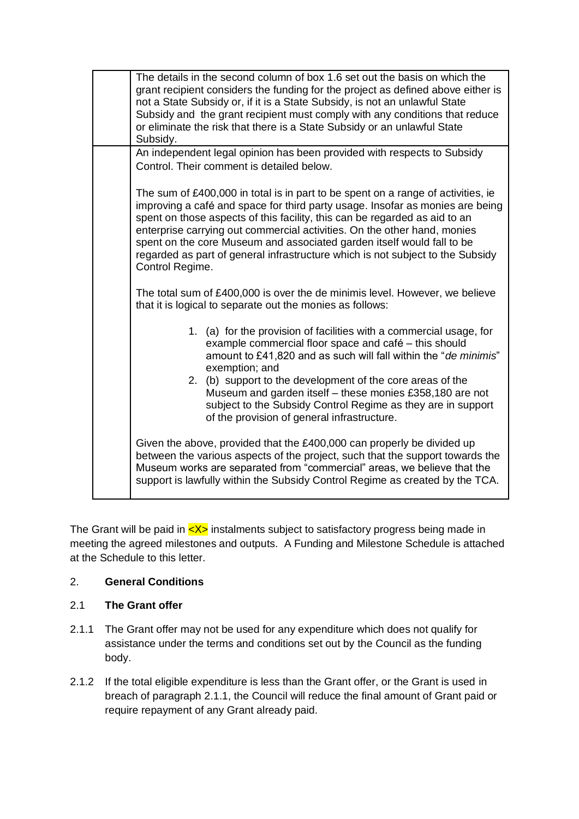| The details in the second column of box 1.6 set out the basis on which the<br>grant recipient considers the funding for the project as defined above either is<br>not a State Subsidy or, if it is a State Subsidy, is not an unlawful State<br>Subsidy and the grant recipient must comply with any conditions that reduce<br>or eliminate the risk that there is a State Subsidy or an unlawful State<br>Subsidy.                                                                                        |  |  |  |
|------------------------------------------------------------------------------------------------------------------------------------------------------------------------------------------------------------------------------------------------------------------------------------------------------------------------------------------------------------------------------------------------------------------------------------------------------------------------------------------------------------|--|--|--|
| An independent legal opinion has been provided with respects to Subsidy<br>Control. Their comment is detailed below.                                                                                                                                                                                                                                                                                                                                                                                       |  |  |  |
| The sum of £400,000 in total is in part to be spent on a range of activities, ie<br>improving a café and space for third party usage. Insofar as monies are being<br>spent on those aspects of this facility, this can be regarded as aid to an<br>enterprise carrying out commercial activities. On the other hand, monies<br>spent on the core Museum and associated garden itself would fall to be<br>regarded as part of general infrastructure which is not subject to the Subsidy<br>Control Regime. |  |  |  |
| The total sum of £400,000 is over the de minimis level. However, we believe<br>that it is logical to separate out the monies as follows:                                                                                                                                                                                                                                                                                                                                                                   |  |  |  |
| 1. (a) for the provision of facilities with a commercial usage, for<br>example commercial floor space and café – this should<br>amount to £41,820 and as such will fall within the "de minimis"<br>exemption; and                                                                                                                                                                                                                                                                                          |  |  |  |
| 2. (b) support to the development of the core areas of the<br>Museum and garden itself - these monies £358,180 are not<br>subject to the Subsidy Control Regime as they are in support<br>of the provision of general infrastructure.                                                                                                                                                                                                                                                                      |  |  |  |
| Given the above, provided that the £400,000 can properly be divided up<br>between the various aspects of the project, such that the support towards the<br>Museum works are separated from "commercial" areas, we believe that the<br>support is lawfully within the Subsidy Control Regime as created by the TCA.                                                                                                                                                                                         |  |  |  |

The Grant will be paid in  $\langle X \rangle$  instalments subject to satisfactory progress being made in meeting the agreed milestones and outputs. A Funding and Milestone Schedule is attached at the Schedule to this letter.

## 2. **General Conditions**

### 2.1 **The Grant offer**

- 2.1.1 The Grant offer may not be used for any expenditure which does not qualify for assistance under the terms and conditions set out by the Council as the funding body.
- 2.1.2 If the total eligible expenditure is less than the Grant offer, or the Grant is used in breach of paragraph 2.1.1, the Council will reduce the final amount of Grant paid or require repayment of any Grant already paid.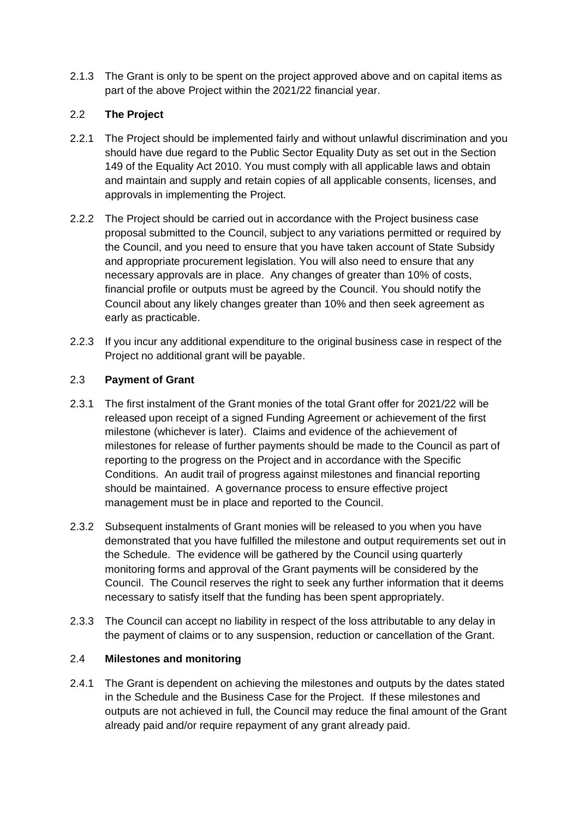2.1.3 The Grant is only to be spent on the project approved above and on capital items as part of the above Project within the 2021/22 financial year.

# 2.2 **The Project**

- 2.2.1 The Project should be implemented fairly and without unlawful discrimination and you should have due regard to the Public Sector Equality Duty as set out in the Section 149 of the Equality Act 2010. You must comply with all applicable laws and obtain and maintain and supply and retain copies of all applicable consents, licenses, and approvals in implementing the Project.
- 2.2.2 The Project should be carried out in accordance with the Project business case proposal submitted to the Council, subject to any variations permitted or required by the Council, and you need to ensure that you have taken account of State Subsidy and appropriate procurement legislation. You will also need to ensure that any necessary approvals are in place. Any changes of greater than 10% of costs, financial profile or outputs must be agreed by the Council. You should notify the Council about any likely changes greater than 10% and then seek agreement as early as practicable.
- 2.2.3 If you incur any additional expenditure to the original business case in respect of the Project no additional grant will be payable.

## 2.3 **Payment of Grant**

- 2.3.1 The first instalment of the Grant monies of the total Grant offer for 2021/22 will be released upon receipt of a signed Funding Agreement or achievement of the first milestone (whichever is later). Claims and evidence of the achievement of milestones for release of further payments should be made to the Council as part of reporting to the progress on the Project and in accordance with the Specific Conditions. An audit trail of progress against milestones and financial reporting should be maintained. A governance process to ensure effective project management must be in place and reported to the Council.
- 2.3.2 Subsequent instalments of Grant monies will be released to you when you have demonstrated that you have fulfilled the milestone and output requirements set out in the Schedule. The evidence will be gathered by the Council using quarterly monitoring forms and approval of the Grant payments will be considered by the Council. The Council reserves the right to seek any further information that it deems necessary to satisfy itself that the funding has been spent appropriately.
- 2.3.3 The Council can accept no liability in respect of the loss attributable to any delay in the payment of claims or to any suspension, reduction or cancellation of the Grant.

## 2.4 **Milestones and monitoring**

2.4.1 The Grant is dependent on achieving the milestones and outputs by the dates stated in the Schedule and the Business Case for the Project. If these milestones and outputs are not achieved in full, the Council may reduce the final amount of the Grant already paid and/or require repayment of any grant already paid.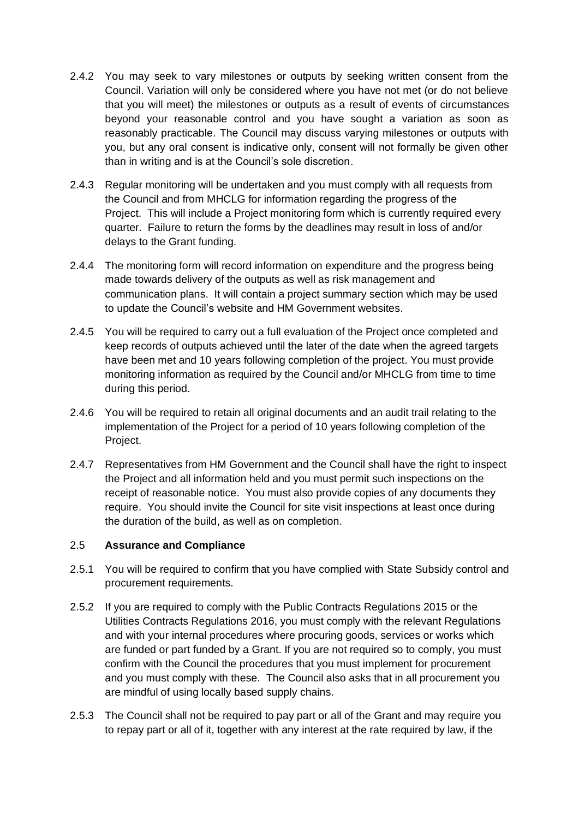- 2.4.2 You may seek to vary milestones or outputs by seeking written consent from the Council. Variation will only be considered where you have not met (or do not believe that you will meet) the milestones or outputs as a result of events of circumstances beyond your reasonable control and you have sought a variation as soon as reasonably practicable. The Council may discuss varying milestones or outputs with you, but any oral consent is indicative only, consent will not formally be given other than in writing and is at the Council's sole discretion.
- 2.4.3 Regular monitoring will be undertaken and you must comply with all requests from the Council and from MHCLG for information regarding the progress of the Project. This will include a Project monitoring form which is currently required every quarter. Failure to return the forms by the deadlines may result in loss of and/or delays to the Grant funding.
- 2.4.4 The monitoring form will record information on expenditure and the progress being made towards delivery of the outputs as well as risk management and communication plans. It will contain a project summary section which may be used to update the Council's website and HM Government websites.
- 2.4.5 You will be required to carry out a full evaluation of the Project once completed and keep records of outputs achieved until the later of the date when the agreed targets have been met and 10 years following completion of the project. You must provide monitoring information as required by the Council and/or MHCLG from time to time during this period.
- 2.4.6 You will be required to retain all original documents and an audit trail relating to the implementation of the Project for a period of 10 years following completion of the Project.
- 2.4.7 Representatives from HM Government and the Council shall have the right to inspect the Project and all information held and you must permit such inspections on the receipt of reasonable notice. You must also provide copies of any documents they require. You should invite the Council for site visit inspections at least once during the duration of the build, as well as on completion.

### 2.5 **Assurance and Compliance**

- 2.5.1 You will be required to confirm that you have complied with State Subsidy control and procurement requirements.
- 2.5.2 If you are required to comply with the Public Contracts Regulations 2015 or the Utilities Contracts Regulations 2016, you must comply with the relevant Regulations and with your internal procedures where procuring goods, services or works which are funded or part funded by a Grant. If you are not required so to comply, you must confirm with the Council the procedures that you must implement for procurement and you must comply with these. The Council also asks that in all procurement you are mindful of using locally based supply chains.
- 2.5.3 The Council shall not be required to pay part or all of the Grant and may require you to repay part or all of it, together with any interest at the rate required by law, if the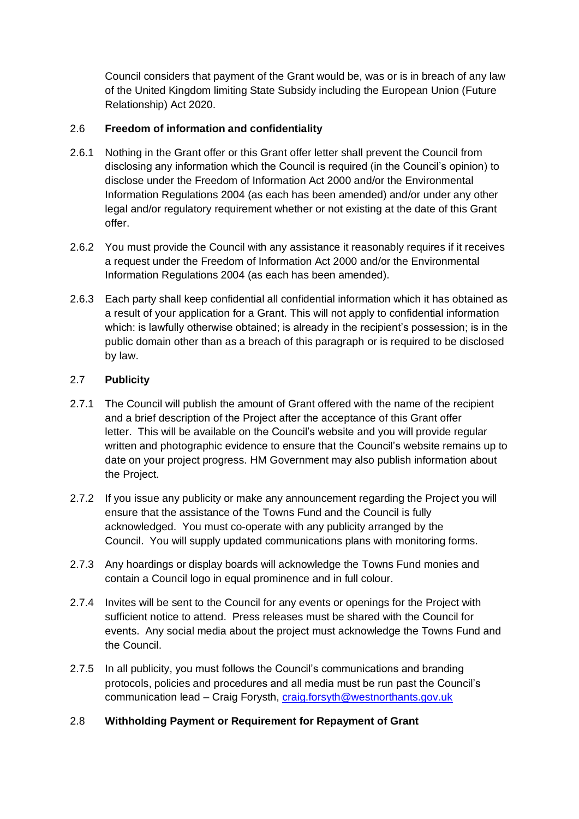Council considers that payment of the Grant would be, was or is in breach of any law of the United Kingdom limiting State Subsidy including the European Union (Future Relationship) Act 2020.

## 2.6 **Freedom of information and confidentiality**

- 2.6.1 Nothing in the Grant offer or this Grant offer letter shall prevent the Council from disclosing any information which the Council is required (in the Council's opinion) to disclose under the Freedom of Information Act 2000 and/or the Environmental Information Regulations 2004 (as each has been amended) and/or under any other legal and/or regulatory requirement whether or not existing at the date of this Grant offer.
- 2.6.2 You must provide the Council with any assistance it reasonably requires if it receives a request under the Freedom of Information Act 2000 and/or the Environmental Information Regulations 2004 (as each has been amended).
- 2.6.3 Each party shall keep confidential all confidential information which it has obtained as a result of your application for a Grant. This will not apply to confidential information which: is lawfully otherwise obtained; is already in the recipient's possession; is in the public domain other than as a breach of this paragraph or is required to be disclosed by law.

### 2.7 **Publicity**

- 2.7.1 The Council will publish the amount of Grant offered with the name of the recipient and a brief description of the Project after the acceptance of this Grant offer letter. This will be available on the Council's website and you will provide regular written and photographic evidence to ensure that the Council's website remains up to date on your project progress. HM Government may also publish information about the Project.
- 2.7.2 If you issue any publicity or make any announcement regarding the Project you will ensure that the assistance of the Towns Fund and the Council is fully acknowledged. You must co-operate with any publicity arranged by the Council. You will supply updated communications plans with monitoring forms.
- 2.7.3 Any hoardings or display boards will acknowledge the Towns Fund monies and contain a Council logo in equal prominence and in full colour.
- 2.7.4 Invites will be sent to the Council for any events or openings for the Project with sufficient notice to attend. Press releases must be shared with the Council for events. Any social media about the project must acknowledge the Towns Fund and the Council.
- 2.7.5 In all publicity, you must follows the Council's communications and branding protocols, policies and procedures and all media must be run past the Council's communication lead – Craig Forysth, [craig.forsyth@westnorthants.gov.uk](mailto:craig.forsyth@westnorthants.gov.uk)

## 2.8 **Withholding Payment or Requirement for Repayment of Grant**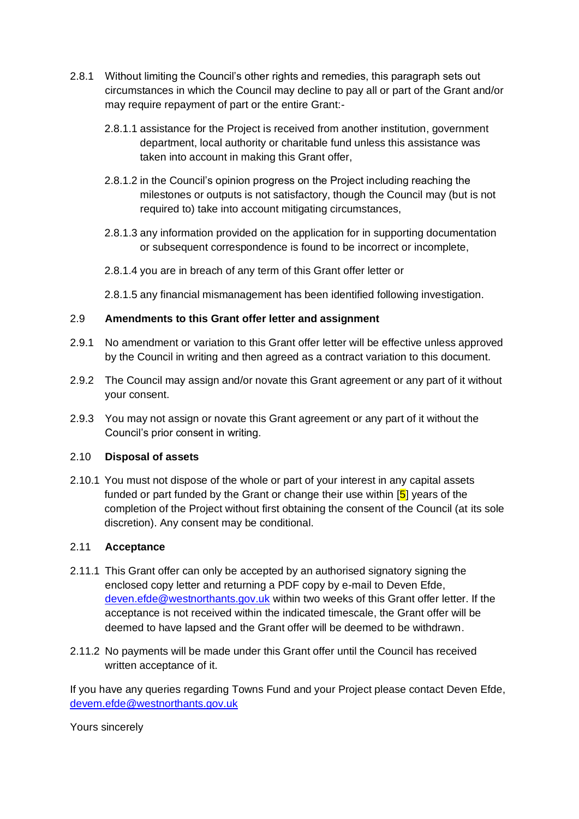- 2.8.1 Without limiting the Council's other rights and remedies, this paragraph sets out circumstances in which the Council may decline to pay all or part of the Grant and/or may require repayment of part or the entire Grant:-
	- 2.8.1.1 assistance for the Project is received from another institution, government department, local authority or charitable fund unless this assistance was taken into account in making this Grant offer,
	- 2.8.1.2 in the Council's opinion progress on the Project including reaching the milestones or outputs is not satisfactory, though the Council may (but is not required to) take into account mitigating circumstances,
	- 2.8.1.3 any information provided on the application for in supporting documentation or subsequent correspondence is found to be incorrect or incomplete,
	- 2.8.1.4 you are in breach of any term of this Grant offer letter or
	- 2.8.1.5 any financial mismanagement has been identified following investigation.

## 2.9 **Amendments to this Grant offer letter and assignment**

- 2.9.1 No amendment or variation to this Grant offer letter will be effective unless approved by the Council in writing and then agreed as a contract variation to this document.
- 2.9.2 The Council may assign and/or novate this Grant agreement or any part of it without your consent.
- 2.9.3 You may not assign or novate this Grant agreement or any part of it without the Council's prior consent in writing.

### 2.10 **Disposal of assets**

2.10.1 You must not dispose of the whole or part of your interest in any capital assets funded or part funded by the Grant or change their use within  $[5]$  years of the completion of the Project without first obtaining the consent of the Council (at its sole discretion). Any consent may be conditional.

### 2.11 **Acceptance**

- 2.11.1 This Grant offer can only be accepted by an authorised signatory signing the enclosed copy letter and returning a PDF copy by e-mail to Deven Efde, [deven.efde@westnorthants.gov.uk](mailto:deven.efde@westnorthants.gov.uk) within two weeks of this Grant offer letter. If the acceptance is not received within the indicated timescale, the Grant offer will be deemed to have lapsed and the Grant offer will be deemed to be withdrawn.
- 2.11.2 No payments will be made under this Grant offer until the Council has received written acceptance of it.

If you have any queries regarding Towns Fund and your Project please contact Deven Efde, [devem.efde@westnorthants.gov.uk](mailto:devem.efde@westnorthants.gov.uk)

Yours sincerely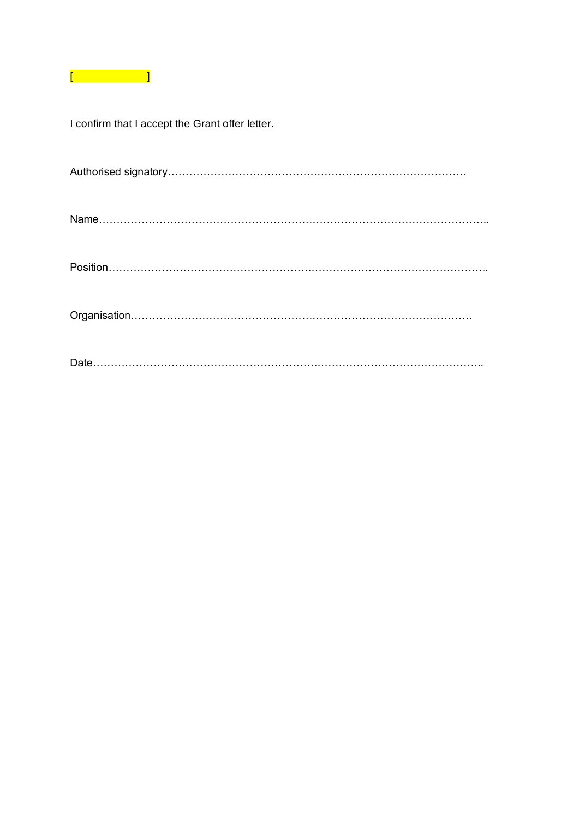

I confirm that I accept the Grant offer letter.